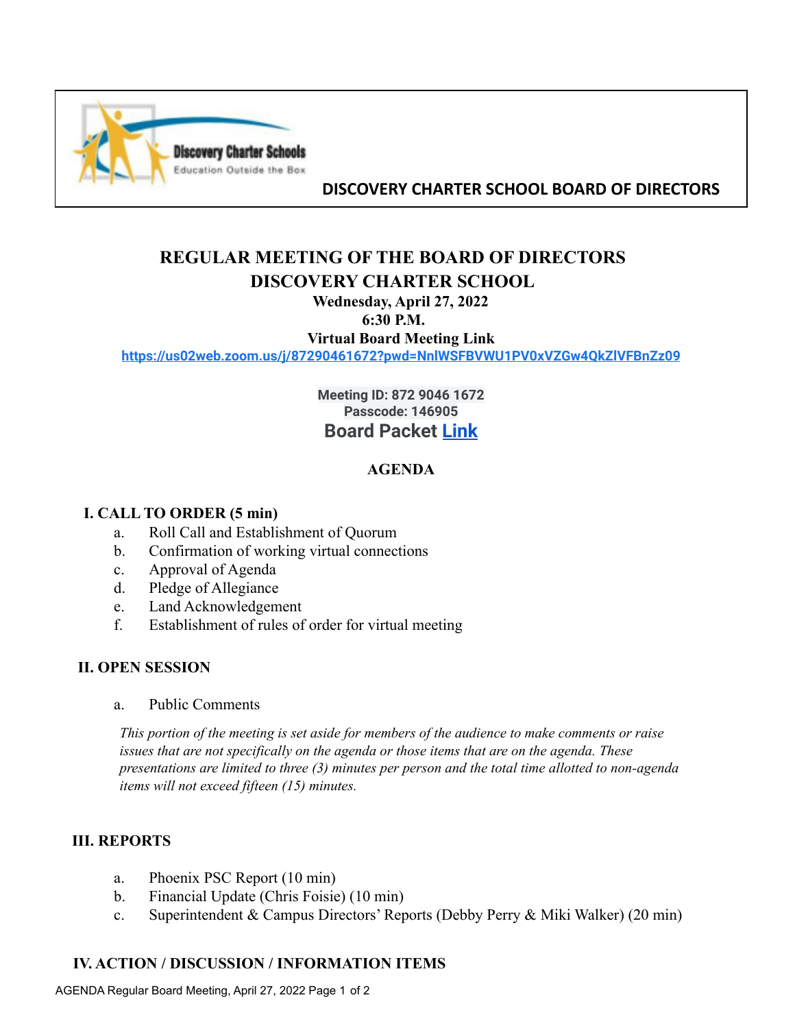

## **DISCOVERY CHARTER SCHOOL BOARD OF DIRECTORS**

# **REGULAR MEETING OF THE BOARD OF DIRECTORS DISCOVERY CHARTER SCHOOL**

## **Wednesday, April 27, 2022**

#### **6:30 P.M.**

**Virtual Board Meeting Link**

**<https://us02web.zoom.us/j/87290461672?pwd=NnlWSFBVWU1PV0xVZGw4QkZlVFBnZz09>**

**Meeting ID: 872 9046 1672 Passcode: 146905 Board Packet [Link](https://drive.google.com/drive/folders/1Vz3WEFZY8RzV28Mvhykimt8Si5eNMcED?usp=sharing)**

## **AGENDA**

#### **I. CALL TO ORDER (5 min)**

- a. Roll Call and Establishment of Quorum
- b. Confirmation of working virtual connections
- c. Approval of Agenda
- d. Pledge of Allegiance
- e. Land Acknowledgement
- f. Establishment of rules of order for virtual meeting

#### **II. OPEN SESSION**

a. Public Comments

*This portion of the meeting is set aside for members of the audience to make comments or raise issues that are not specifically on the agenda or those items that are on the agenda. These presentations are limited to three (3) minutes per person and the total time allotted to non-agenda items will not exceed fifteen (15) minutes.*

#### **III. REPORTS**

- a. Phoenix PSC Report (10 min)
- b. Financial Update (Chris Foisie) (10 min)
- c. Superintendent & Campus Directors' Reports (Debby Perry & Miki Walker) (20 min)

#### **IV. ACTION / DISCUSSION / INFORMATION ITEMS**